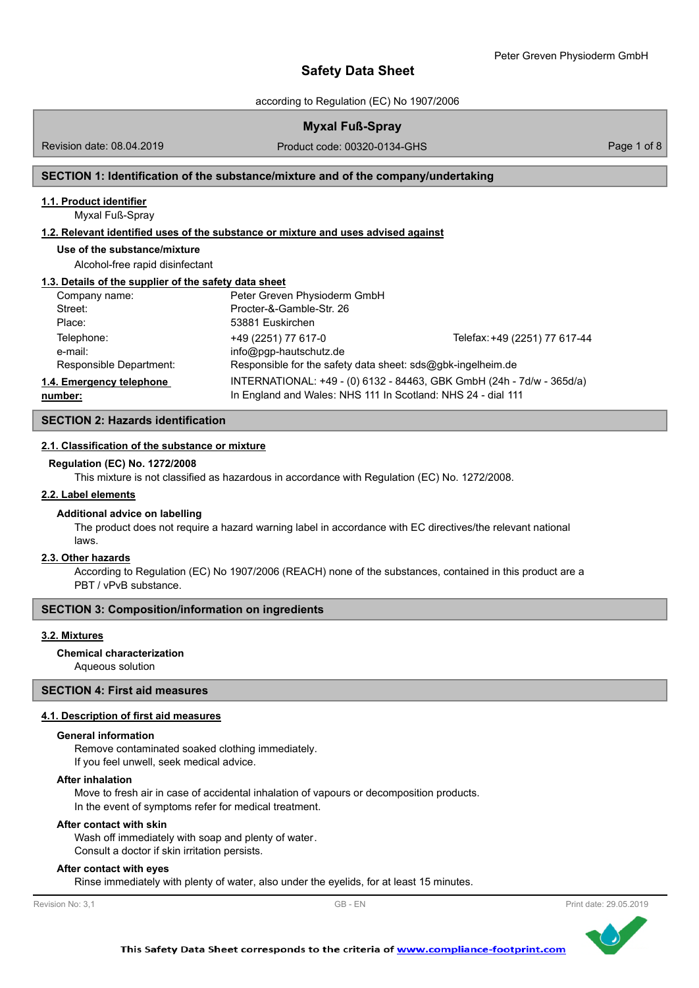according to Regulation (EC) No 1907/2006

| <b>Myxal Fuß-Spray</b> |  |
|------------------------|--|
|                        |  |

Revision date: 08.04.2019

Product code: 00320-0134-GHS Product code: 00320-0134-GHS

## **SECTION 1: Identification of the substance/mixture and of the company/undertaking**

## **1.1. Product identifier**

Myxal Fuß-Spray

#### **1.2. Relevant identified uses of the substance or mixture and uses advised against**

**Use of the substance/mixture**

Alcohol-free rapid disinfectant

#### **1.3. Details of the supplier of the safety data sheet**

| Company name:            | Peter Greven Physioderm GmbH                                 |                                                                       |
|--------------------------|--------------------------------------------------------------|-----------------------------------------------------------------------|
| Street:                  | Procter-&-Gamble-Str. 26                                     |                                                                       |
| Place:                   | 53881 Euskirchen                                             |                                                                       |
| Telephone:               | +49 (2251) 77 617-0                                          | Telefax: +49 (2251) 77 617-44                                         |
| e-mail:                  | info@pgp-hautschutz.de                                       |                                                                       |
| Responsible Department:  | Responsible for the safety data sheet: sds@gbk-ingelheim.de  |                                                                       |
| 1.4. Emergency telephone |                                                              | INTERNATIONAL: +49 - (0) 6132 - 84463, GBK GmbH (24h - 7d/w - 365d/a) |
| number:                  | In England and Wales: NHS 111 In Scotland: NHS 24 - dial 111 |                                                                       |

## **SECTION 2: Hazards identification**

#### **2.1. Classification of the substance or mixture**

#### **Regulation (EC) No. 1272/2008**

This mixture is not classified as hazardous in accordance with Regulation (EC) No. 1272/2008.

## **2.2. Label elements**

#### **Additional advice on labelling**

The product does not require a hazard warning label in accordance with EC directives/the relevant national laws.

#### **2.3. Other hazards**

According to Regulation (EC) No 1907/2006 (REACH) none of the substances, contained in this product are a PBT / vPvB substance.

#### **SECTION 3: Composition/information on ingredients**

#### **3.2. Mixtures**

# **Chemical characterization**

Aqueous solution

# **SECTION 4: First aid measures**

## **4.1. Description of first aid measures**

## **General information**

Remove contaminated soaked clothing immediately. If you feel unwell, seek medical advice.

#### **After inhalation**

Move to fresh air in case of accidental inhalation of vapours or decomposition products. In the event of symptoms refer for medical treatment.

#### **After contact with skin**

Wash off immediately with soap and plenty of water. Consult a doctor if skin irritation persists.

## **After contact with eyes**

Rinse immediately with plenty of water, also under the eyelids, for at least 15 minutes.

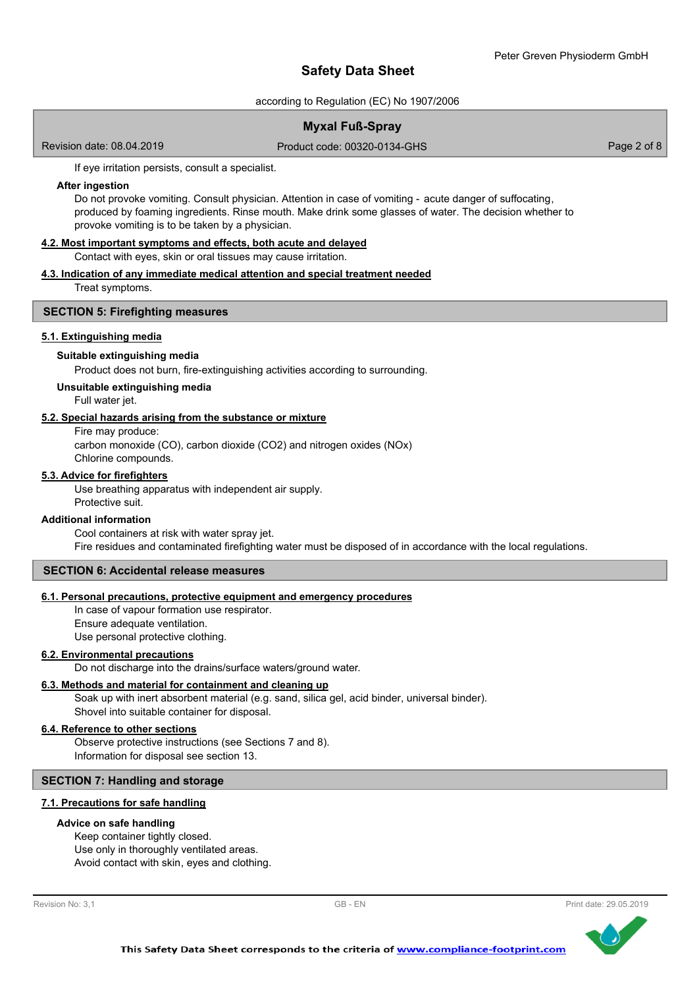according to Regulation (EC) No 1907/2006

## **Myxal Fuß-Spray**

Revision date: 08.04.2019

Product code: 00320-0134-GHS Product code: 00320-0134-GHS

If eye irritation persists, consult a specialist.

## **After ingestion**

Do not provoke vomiting. Consult physician. Attention in case of vomiting - acute danger of suffocating, produced by foaming ingredients. Rinse mouth. Make drink some glasses of water. The decision whether to provoke vomiting is to be taken by a physician.

## **4.2. Most important symptoms and effects, both acute and delayed**

Contact with eyes, skin or oral tissues may cause irritation.

## **4.3. Indication of any immediate medical attention and special treatment needed**

Treat symptoms.

## **SECTION 5: Firefighting measures**

## **5.1. Extinguishing media**

## **Suitable extinguishing media**

Product does not burn, fire-extinguishing activities according to surrounding.

## **Unsuitable extinguishing media**

Full water jet.

## **5.2. Special hazards arising from the substance or mixture**

Fire may produce:

carbon monoxide (CO), carbon dioxide (CO2) and nitrogen oxides (NOx) Chlorine compounds.

## **5.3. Advice for firefighters**

Use breathing apparatus with independent air supply. Protective suit.

## **Additional information**

Cool containers at risk with water spray jet. Fire residues and contaminated firefighting water must be disposed of in accordance with the local regulations.

## **SECTION 6: Accidental release measures**

## **6.1. Personal precautions, protective equipment and emergency procedures**

In case of vapour formation use respirator. Ensure adequate ventilation. Use personal protective clothing.

## **6.2. Environmental precautions**

Do not discharge into the drains/surface waters/ground water.

## **6.3. Methods and material for containment and cleaning up**

Soak up with inert absorbent material (e.g. sand, silica gel, acid binder, universal binder). Shovel into suitable container for disposal.

## **6.4. Reference to other sections**

Observe protective instructions (see Sections 7 and 8). Information for disposal see section 13.

## **SECTION 7: Handling and storage**

## **7.1. Precautions for safe handling**

## **Advice on safe handling**

Keep container tightly closed. Use only in thoroughly ventilated areas. Avoid contact with skin, eyes and clothing.



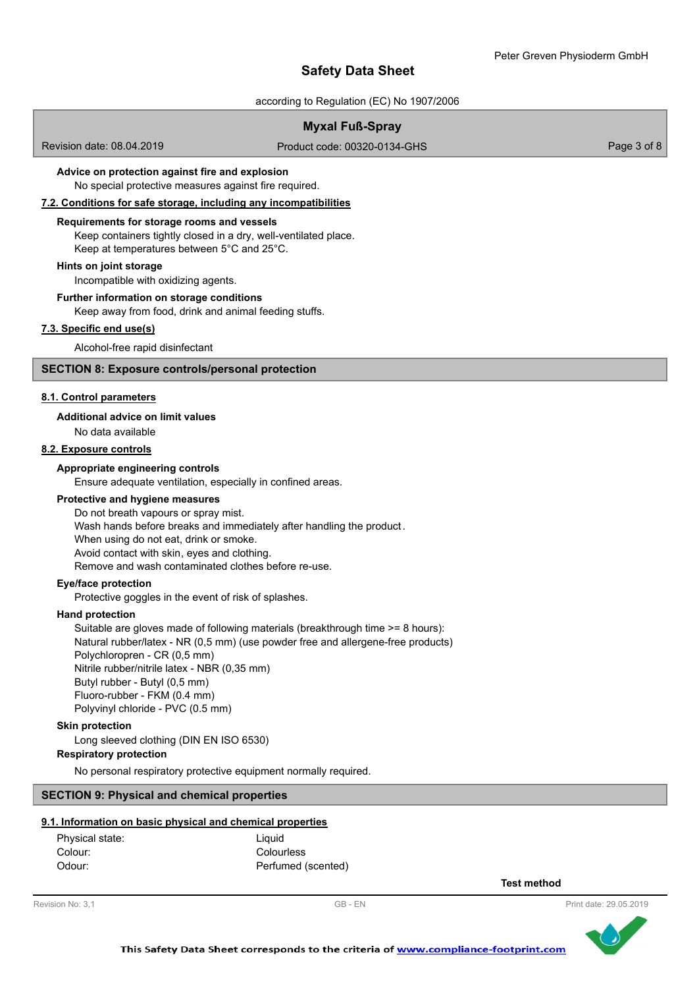according to Regulation (EC) No 1907/2006

## **Myxal Fuß-Spray**

Revision date: 08.04.2019

Product code: 00320-0134-GHS Product code: 00320-0134-GHS

## **Advice on protection against fire and explosion**

No special protective measures against fire required.

**7.2. Conditions for safe storage, including any incompatibilities**

# **Requirements for storage rooms and vessels**

Keep containers tightly closed in a dry, well-ventilated place. Keep at temperatures between 5°C and 25°C.

## **Hints on joint storage**

Incompatible with oxidizing agents.

### **Further information on storage conditions**

Keep away from food, drink and animal feeding stuffs.

## **7.3. Specific end use(s)**

Alcohol-free rapid disinfectant

## **SECTION 8: Exposure controls/personal protection**

#### **8.1. Control parameters**

#### **Additional advice on limit values**

No data available

# **8.2. Exposure controls**

## **Appropriate engineering controls**

Ensure adequate ventilation, especially in confined areas.

## **Protective and hygiene measures**

Do not breath vapours or spray mist. Wash hands before breaks and immediately after handling the product . When using do not eat, drink or smoke. Avoid contact with skin, eyes and clothing. Remove and wash contaminated clothes before re-use.

## **Eye/face protection**

Protective goggles in the event of risk of splashes.

#### **Hand protection**

Suitable are gloves made of following materials (breakthrough time >= 8 hours): Natural rubber/latex - NR (0,5 mm) (use powder free and allergene-free products) Polychloropren - CR (0,5 mm) Nitrile rubber/nitrile latex - NBR (0,35 mm) Butyl rubber - Butyl (0,5 mm) Fluoro-rubber - FKM (0.4 mm) Polyvinyl chloride - PVC (0.5 mm)

## **Skin protection**

Long sleeved clothing (DIN EN ISO 6530)

## **Respiratory protection**

No personal respiratory protective equipment normally required.

## **SECTION 9: Physical and chemical properties**

## **9.1. Information on basic physical and chemical properties**

| Physical state: | Liauid             |
|-----------------|--------------------|
| Colour:         | Colourless         |
| Odour:          | Perfumed (scented) |

**Test method**

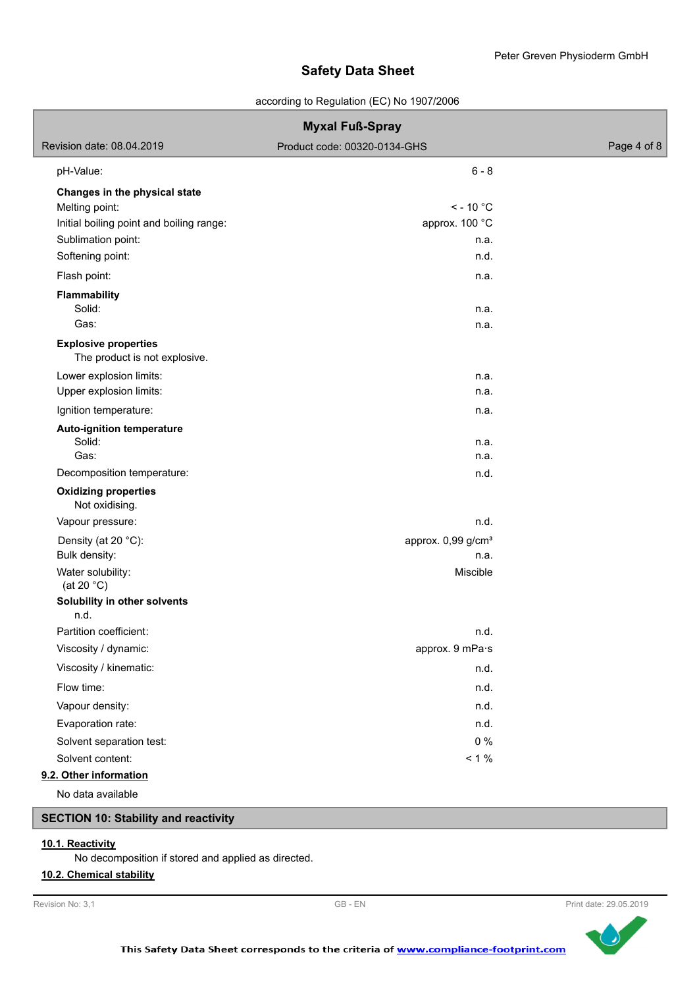according to Regulation (EC) No 1907/2006

| <b>Myxal Fuß-Spray</b>                                       |                                |             |  |
|--------------------------------------------------------------|--------------------------------|-------------|--|
| Revision date: 08.04.2019                                    | Product code: 00320-0134-GHS   | Page 4 of 8 |  |
| pH-Value:                                                    | $6 - 8$                        |             |  |
| Changes in the physical state                                |                                |             |  |
| Melting point:                                               | $\le$ - 10 °C                  |             |  |
| Initial boiling point and boiling range:                     | approx. 100 °C                 |             |  |
| Sublimation point:                                           | n.a.                           |             |  |
| Softening point:                                             | n.d.                           |             |  |
| Flash point:                                                 | n.a.                           |             |  |
| <b>Flammability</b>                                          |                                |             |  |
| Solid:                                                       | n.a.                           |             |  |
| Gas:                                                         | n.a.                           |             |  |
| <b>Explosive properties</b><br>The product is not explosive. |                                |             |  |
| Lower explosion limits:                                      | n.a.                           |             |  |
| Upper explosion limits:                                      | n.a.                           |             |  |
| Ignition temperature:                                        | n.a.                           |             |  |
| Auto-ignition temperature                                    |                                |             |  |
| Solid:                                                       | n.a.                           |             |  |
| Gas:                                                         | n.a.                           |             |  |
| Decomposition temperature:                                   | n.d.                           |             |  |
| <b>Oxidizing properties</b><br>Not oxidising.                |                                |             |  |
| Vapour pressure:                                             | n.d.                           |             |  |
| Density (at 20 °C):                                          | approx. 0,99 g/cm <sup>3</sup> |             |  |
| Bulk density:                                                | n.a.                           |             |  |
| Water solubility:<br>(at 20 $^{\circ}$ C)                    | Miscible                       |             |  |
| Solubility in other solvents                                 |                                |             |  |
| n.d.                                                         |                                |             |  |
| Partition coefficient:                                       | n.d.                           |             |  |
| Viscosity / dynamic:                                         | approx. 9 mPa·s                |             |  |
| Viscosity / kinematic:                                       | n.d.                           |             |  |
| Flow time:                                                   | n.d.                           |             |  |
| Vapour density:                                              | n.d.                           |             |  |
| Evaporation rate:                                            | n.d.                           |             |  |
| Solvent separation test:                                     | 0%                             |             |  |
| Solvent content:                                             | $< 1 \%$                       |             |  |
| 9.2. Other information                                       |                                |             |  |
| No data available                                            |                                |             |  |

# **SECTION 10: Stability and reactivity**

## **10.1. Reactivity**

No decomposition if stored and applied as directed.

## **10.2. Chemical stability**



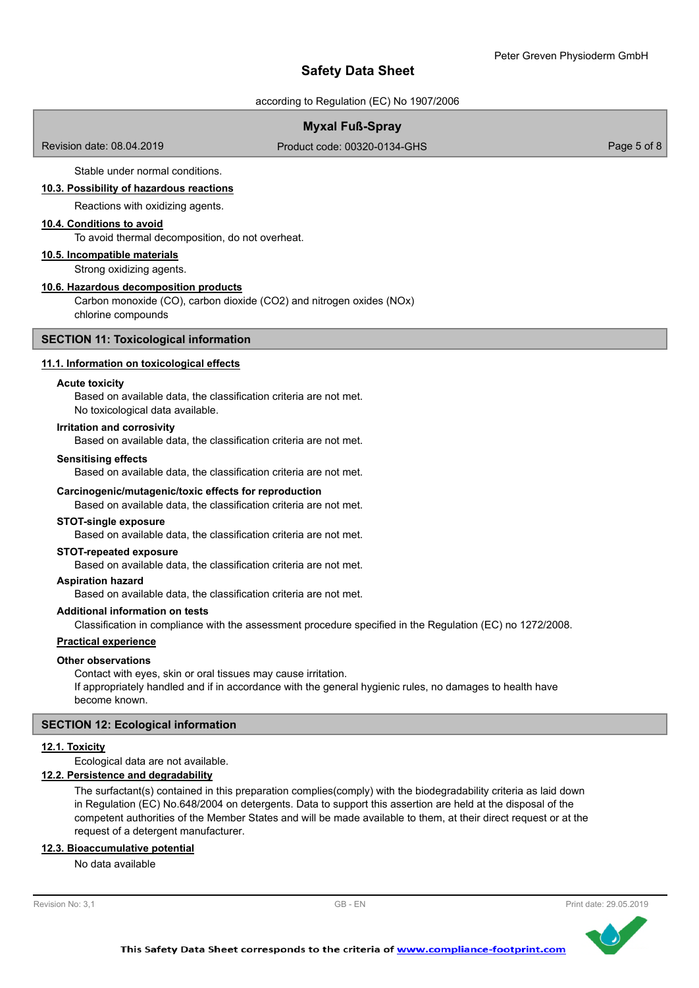according to Regulation (EC) No 1907/2006

## **Myxal Fuß-Spray**

Revision date: 08.04.2019

Product code: 00320-0134-GHS Product code: 00320-0134-GHS

Stable under normal conditions.

## **10.3. Possibility of hazardous reactions**

Reactions with oxidizing agents.

## **10.4. Conditions to avoid**

To avoid thermal decomposition, do not overheat.

## **10.5. Incompatible materials**

Strong oxidizing agents.

#### **10.6. Hazardous decomposition products**

Carbon monoxide (CO), carbon dioxide (CO2) and nitrogen oxides (NOx) chlorine compounds

#### **SECTION 11: Toxicological information**

#### **11.1. Information on toxicological effects**

#### **Acute toxicity**

Based on available data, the classification criteria are not met. No toxicological data available.

#### **Irritation and corrosivity**

Based on available data, the classification criteria are not met.

#### **Sensitising effects**

Based on available data, the classification criteria are not met.

#### **Carcinogenic/mutagenic/toxic effects for reproduction**

Based on available data, the classification criteria are not met.

#### **STOT-single exposure**

Based on available data, the classification criteria are not met.

#### **STOT-repeated exposure**

Based on available data, the classification criteria are not met.

#### **Aspiration hazard**

Based on available data, the classification criteria are not met.

## **Additional information on tests**

Classification in compliance with the assessment procedure specified in the Regulation (EC) no 1272/2008.

## **Practical experience**

#### **Other observations**

Contact with eyes, skin or oral tissues may cause irritation. If appropriately handled and if in accordance with the general hygienic rules, no damages to health have become known.

#### **SECTION 12: Ecological information**

#### **12.1. Toxicity**

Ecological data are not available.

## **12.2. Persistence and degradability**

The surfactant(s) contained in this preparation complies(comply) with the biodegradability criteria as laid down in Regulation (EC) No.648/2004 on detergents. Data to support this assertion are held at the disposal of the competent authorities of the Member States and will be made available to them, at their direct request or at the request of a detergent manufacturer.

#### **12.3. Bioaccumulative potential**

No data available

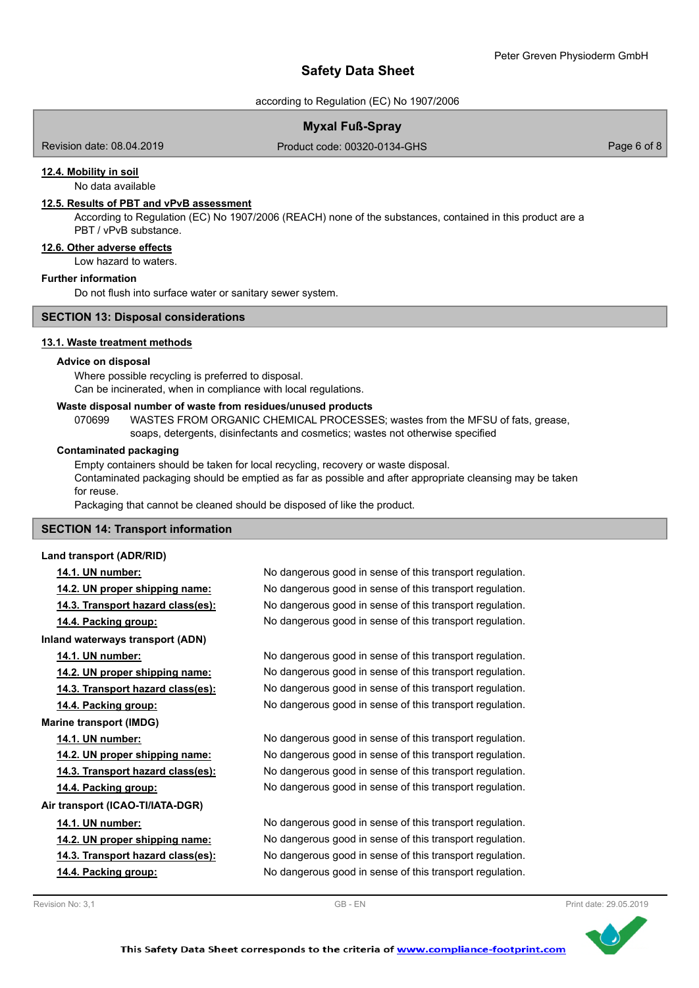according to Regulation (EC) No 1907/2006

# **Myxal Fuß-Spray**

Revision date: 08.04.2019

Product code: 00320-0134-GHS Product code: 00320-0134-GHS

## **12.4. Mobility in soil**

No data available

## **12.5. Results of PBT and vPvB assessment**

According to Regulation (EC) No 1907/2006 (REACH) none of the substances, contained in this product are a PBT / vPvB substance.

# **12.6. Other adverse effects**

Low hazard to waters.

# **Further information**

Do not flush into surface water or sanitary sewer system.

## **SECTION 13: Disposal considerations**

## **13.1. Waste treatment methods**

## **Advice on disposal**

Where possible recycling is preferred to disposal. Can be incinerated, when in compliance with local regulations.

## **Waste disposal number of waste from residues/unused products**

070699 WASTES FROM ORGANIC CHEMICAL PROCESSES; wastes from the MFSU of fats, grease, soaps, detergents, disinfectants and cosmetics; wastes not otherwise specified

## **Contaminated packaging**

Empty containers should be taken for local recycling, recovery or waste disposal. Contaminated packaging should be emptied as far as possible and after appropriate cleansing may be taken for reuse.

Packaging that cannot be cleaned should be disposed of like the product.

## **SECTION 14: Transport information**

## **Land transport (ADR/RID)**

## **14.1. UN number:** No dangerous good in sense of this transport regulation.

| 14.2. UN proper shipping name:    | No dangerous good in sense of this transport regulation. |
|-----------------------------------|----------------------------------------------------------|
| 14.3. Transport hazard class(es): | No dangerous good in sense of this transport regulation. |
| 14.4. Packing group:              | No dangerous good in sense of this transport regulation. |
| Inland waterways transport (ADN)  |                                                          |
| 14.1. UN number:                  | No dangerous good in sense of this transport regulation. |
| 14.2. UN proper shipping name:    | No dangerous good in sense of this transport regulation. |
| 14.3. Transport hazard class(es): | No dangerous good in sense of this transport regulation. |
| 14.4. Packing group:              | No dangerous good in sense of this transport regulation. |
| <b>Marine transport (IMDG)</b>    |                                                          |
| 14.1. UN number:                  | No dangerous good in sense of this transport regulation. |
| 14.2. UN proper shipping name:    | No dangerous good in sense of this transport regulation. |
| 14.3. Transport hazard class(es): | No dangerous good in sense of this transport regulation. |
| 14.4. Packing group:              | No dangerous good in sense of this transport regulation. |
| Air transport (ICAO-TI/IATA-DGR)  |                                                          |
| 14.1. UN number:                  | No dangerous good in sense of this transport regulation. |
| 14.2. UN proper shipping name:    | No dangerous good in sense of this transport regulation. |
| 14.3. Transport hazard class(es): | No dangerous good in sense of this transport regulation. |
| 14.4. Packing group:              | No dangerous good in sense of this transport regulation. |
|                                   |                                                          |

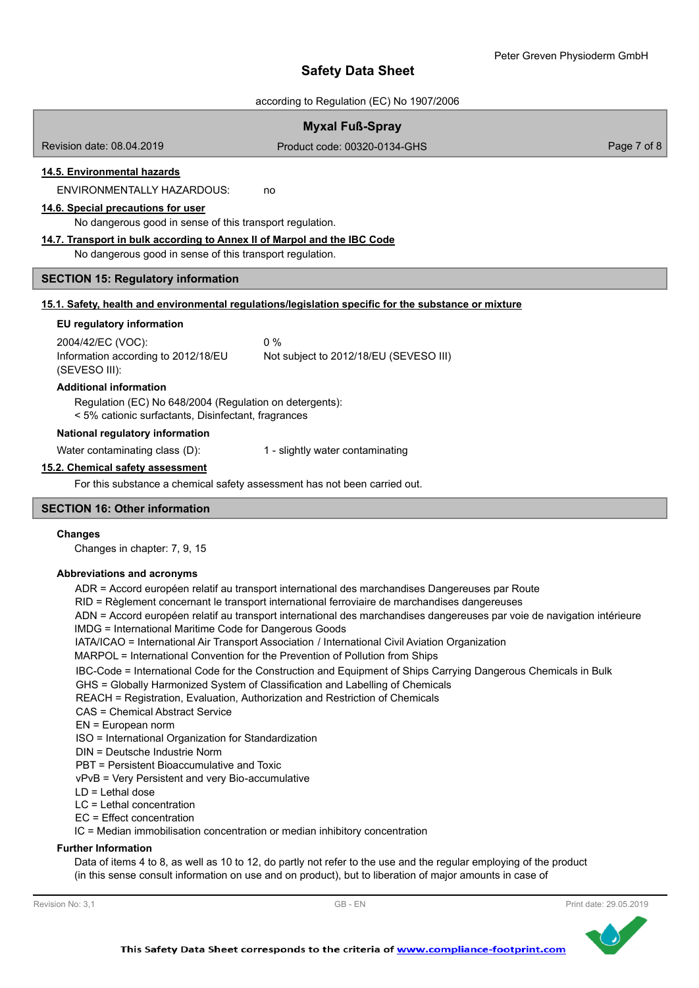according to Regulation (EC) No 1907/2006

| <b>Myxal Fuß-Spray</b>                                                                                         |                                                                                                      |             |
|----------------------------------------------------------------------------------------------------------------|------------------------------------------------------------------------------------------------------|-------------|
| Revision date: 08.04.2019                                                                                      | Product code: 00320-0134-GHS                                                                         | Page 7 of 8 |
| 14.5. Environmental hazards                                                                                    |                                                                                                      |             |
| <b>ENVIRONMENTALLY HAZARDOUS:</b>                                                                              | no                                                                                                   |             |
| 14.6. Special precautions for user<br>No dangerous good in sense of this transport regulation.                 |                                                                                                      |             |
| 14.7. Transport in bulk according to Annex II of Marpol and the IBC Code                                       |                                                                                                      |             |
| No dangerous good in sense of this transport regulation.                                                       |                                                                                                      |             |
| <b>SECTION 15: Regulatory information</b>                                                                      |                                                                                                      |             |
|                                                                                                                | 15.1. Safety, health and environmental regulations/legislation specific for the substance or mixture |             |
| EU regulatory information                                                                                      |                                                                                                      |             |
| 2004/42/EC (VOC):                                                                                              | $0\%$                                                                                                |             |
| Information according to 2012/18/EU<br>(SEVESO III):                                                           | Not subject to 2012/18/EU (SEVESO III)                                                               |             |
| <b>Additional information</b>                                                                                  |                                                                                                      |             |
| Regulation (EC) No 648/2004 (Regulation on detergents):<br>< 5% cationic surfactants, Disinfectant, fragrances |                                                                                                      |             |
| National regulatory information                                                                                |                                                                                                      |             |
| Water contaminating class (D):                                                                                 | 1 - slightly water contaminating                                                                     |             |
| 15.2. Chemical safety assessment                                                                               |                                                                                                      |             |
| For this substance a chemical safety assessment has not been carried out.                                      |                                                                                                      |             |
| <b>SECTION 16: Other information</b>                                                                           |                                                                                                      |             |
| <b>Changes</b><br>Changes in chanter: 7, 9, 15                                                                 |                                                                                                      |             |

Changes in chapter: 7, 9, 15

## **Abbreviations and acronyms**

ADR = Accord européen relatif au transport international des marchandises Dangereuses par Route

RID = Règlement concernant le transport international ferroviaire de marchandises dangereuses

ADN = Accord européen relatif au transport international des marchandises dangereuses par voie de navigation intérieure

- IMDG = International Maritime Code for Dangerous Goods
- IATA/ICAO = International Air Transport Association / International Civil Aviation Organization

MARPOL = International Convention for the Prevention of Pollution from Ships

IBC-Code = International Code for the Construction and Equipment of Ships Carrying Dangerous Chemicals in Bulk

GHS = Globally Harmonized System of Classification and Labelling of Chemicals

REACH = Registration, Evaluation, Authorization and Restriction of Chemicals

- CAS = Chemical Abstract Service
- EN = European norm

ISO = International Organization for Standardization

DIN = Deutsche Industrie Norm

PBT = Persistent Bioaccumulative and Toxic

vPvB = Very Persistent and very Bio-accumulative

LD = Lethal dose

LC = Lethal concentration

EC = Effect concentration

IC = Median immobilisation concentration or median inhibitory concentration

## **Further Information**

Data of items 4 to 8, as well as 10 to 12, do partly not refer to the use and the regular employing of the product (in this sense consult information on use and on product), but to liberation of major amounts in case of